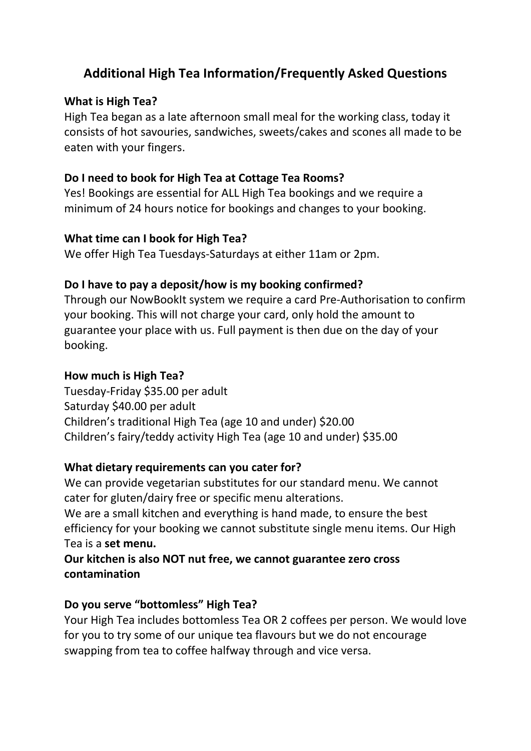# **Additional High Tea Information/Frequently Asked Questions**

### **What is High Tea?**

High Tea began as a late afternoon small meal for the working class, today it consists of hot savouries, sandwiches, sweets/cakes and scones all made to be eaten with your fingers.

### **Do I need to book for High Tea at Cottage Tea Rooms?**

Yes! Bookings are essential for ALL High Tea bookings and we require a minimum of 24 hours notice for bookings and changes to your booking.

### **What time can I book for High Tea?**

We offer High Tea Tuesdays-Saturdays at either 11am or 2pm.

### **Do I have to pay a deposit/how is my booking confirmed?**

Through our NowBookIt system we require a card Pre-Authorisation to confirm your booking. This will not charge your card, only hold the amount to guarantee your place with us. Full payment is then due on the day of your booking.

### **How much is High Tea?**

Tuesday-Friday \$35.00 per adult Saturday \$40.00 per adult Children's traditional High Tea (age 10 and under) \$20.00 Children's fairy/teddy activity High Tea (age 10 and under) \$35.00

### **What dietary requirements can you cater for?**

We can provide vegetarian substitutes for our standard menu. We cannot cater for gluten/dairy free or specific menu alterations. We are a small kitchen and everything is hand made, to ensure the best efficiency for your booking we cannot substitute single menu items. Our High Tea is a **set menu.**

# **Our kitchen is also NOT nut free, we cannot guarantee zero cross contamination**

# **Do you serve "bottomless" High Tea?**

Your High Tea includes bottomless Tea OR 2 coffees per person. We would love for you to try some of our unique tea flavours but we do not encourage swapping from tea to coffee halfway through and vice versa.